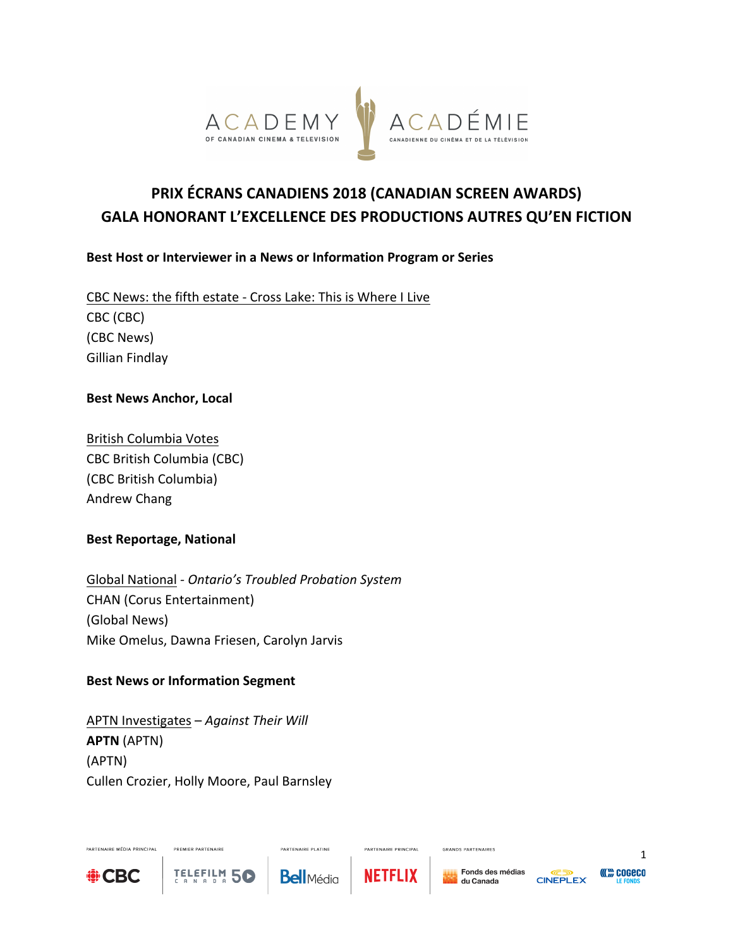

# **PRIX ÉCRANS CANADIENS 2018 (CANADIAN SCREEN AWARDS) GALA HONORANT L'EXCELLENCE DES PRODUCTIONS AUTRES QU'EN FICTION**

## **Best Host or Interviewer in a News or Information Program or Series**

CBC News: the fifth estate - Cross Lake: This is Where I Live CBC (CBC) (CBC News) Gillian Findlay

#### **Best News Anchor, Local**

British Columbia Votes CBC British Columbia (CBC) (CBC British Columbia) Andrew Chang

#### **Best Reportage, National**

Global National *- Ontario's Troubled Probation System* CHAN (Corus Entertainment) (Global News) Mike Omelus, Dawna Friesen, Carolyn Jarvis

#### **Best News or Information Segment**

APTN Investigates - Against Their Will **APTN** (APTN) (APTN) Cullen Crozier, Holly Moore, Paul Barnsley

PREMIER PARTENAIRE

TELEFILM 50



PARTENAIRE MÉDIA PRINCIPAL

**Bell**Média

**PARTENAIRE PLATINE** 



PARTENAIRE PRINCIPAL

GRANDS PARTENAIRES



1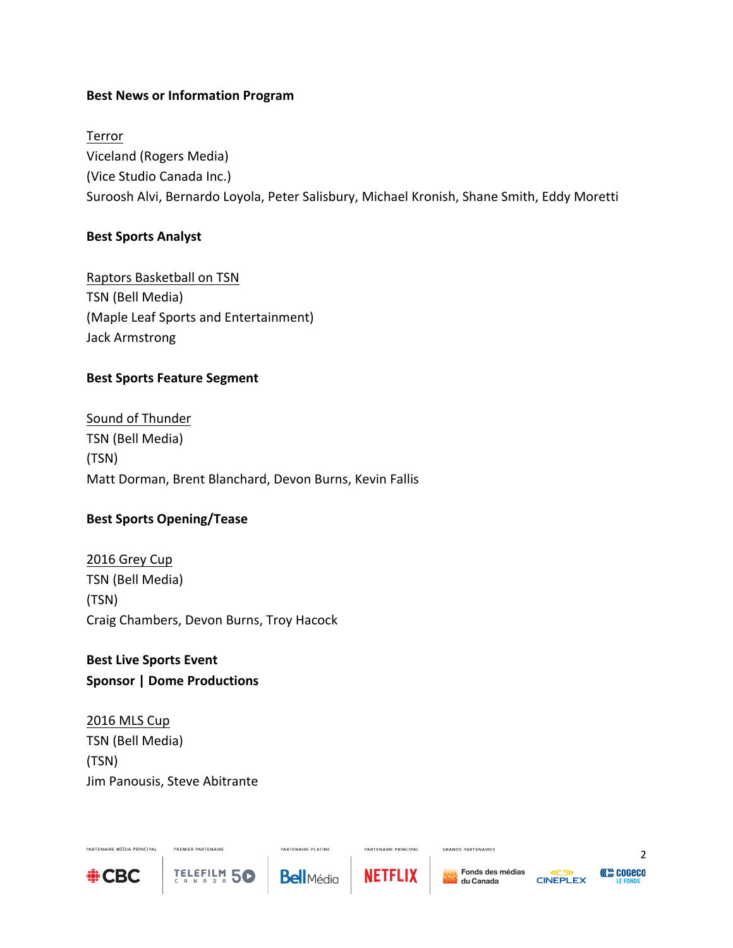## **Best News or Information Program**

Terror Viceland (Rogers Media) (Vice Studio Canada Inc.) Suroosh Alvi, Bernardo Loyola, Peter Salisbury, Michael Kronish, Shane Smith, Eddy Moretti

#### **Best Sports Analyst**

Raptors Basketball on TSN TSN (Bell Media) (Maple Leaf Sports and Entertainment) Jack Armstrong

## **Best Sports Feature Segment**

Sound of Thunder TSN (Bell Media) (TSN) Matt Dorman, Brent Blanchard, Devon Burns, Kevin Fallis

## **Best Sports Opening/Tease**

2016 Grey Cup TSN (Bell Media) (TSN) Craig Chambers, Devon Burns, Troy Hacock

**Best Live Sports Event Sponsor | Dome Productions** 

2016 MLS Cup TSN (Bell Media) (TSN) Jim Panousis, Steve Abitrante

PREMIER PARTENAIRE

TELEFILM 50



PARTENAIRE MÉDIA PRINCIPAL

PARTENAIRE PLATINE **Bell**Média



PARTENAIRE PRINCIPAL



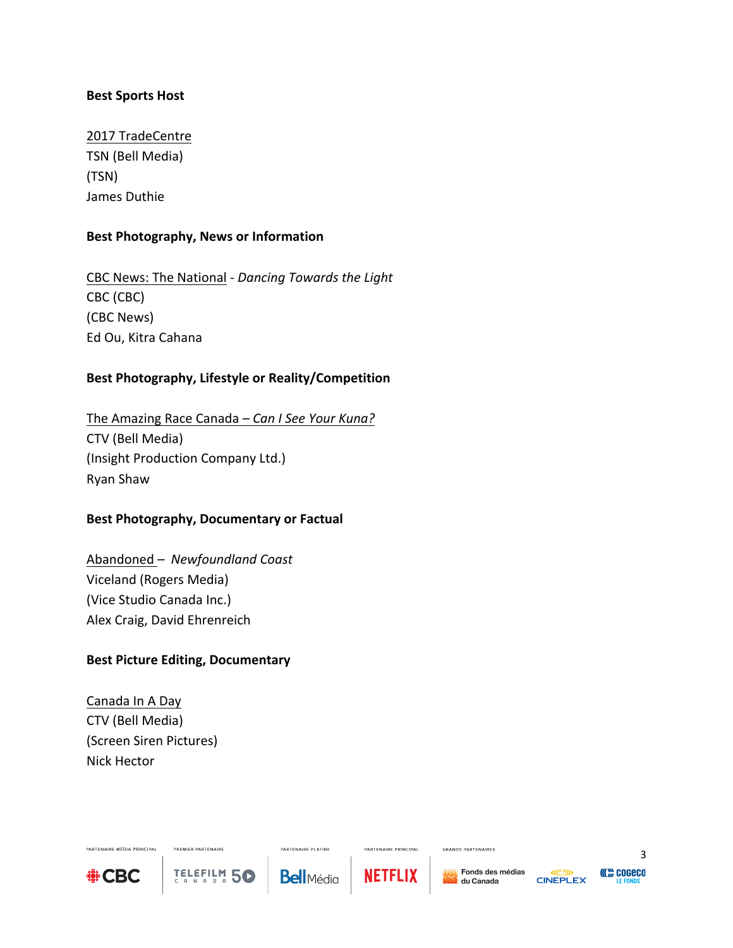#### **Best Sports Host**

2017 TradeCentre TSN (Bell Media) (TSN) James Duthie

#### **Best Photography, News or Information**

CBC News: The National - *Dancing Towards the Light* CBC (CBC) (CBC News) Ed Ou, Kitra Cahana

## Best Photography, Lifestyle or Reality/Competition

The Amazing Race Canada – *Can I See Your Kuna?* CTV (Bell Media) (Insight Production Company Ltd.) Ryan Shaw

#### **Best Photography, Documentary or Factual**

Abandoned - Newfoundland Coast Viceland (Rogers Media) (Vice Studio Canada Inc.) Alex Craig, David Ehrenreich

#### **Best Picture Editing, Documentary**

PREMIER PARTENAIRE

TELEFILM 50

Canada In A Day CTV (Bell Media) (Screen Siren Pictures) Nick Hector



PARTENAIRE MÉDIA PRINCIPAL

PARTENAIRE PLATINE **Bell**Média



PARTENAIRE PRINCIPAL

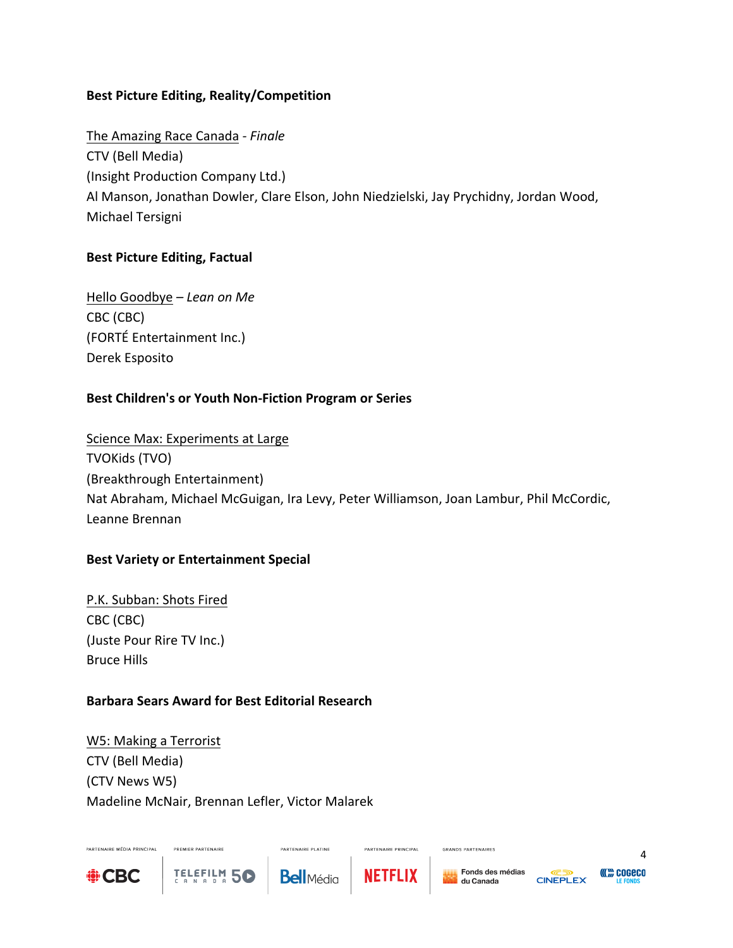## **Best Picture Editing, Reality/Competition**

The Amazing Race Canada *- Finale* CTV (Bell Media) (Insight Production Company Ltd.) Al Manson, Jonathan Dowler, Clare Elson, John Niedzielski, Jay Prychidny, Jordan Wood, Michael Tersigni

## **Best Picture Editing, Factual**

Hello Goodbye – Lean on Me CBC (CBC) (FORTÉ Entertainment Inc.) Derek Esposito

## Best Children's or Youth Non-Fiction Program or Series

Science Max: Experiments at Large TVOKids (TVO) (Breakthrough Entertainment) Nat Abraham, Michael McGuigan, Ira Levy, Peter Williamson, Joan Lambur, Phil McCordic, Leanne Brennan

## **Best Variety or Entertainment Special**

P.K. Subban: Shots Fired CBC (CBC) (Juste Pour Rire TV Inc.) Bruce Hills

## **Barbara Sears Award for Best Editorial Research**

W5: Making a Terrorist CTV (Bell Media) (CTV News W5) Madeline McNair, Brennan Lefler, Victor Malarek

PREMIER PARTENAIRE

TELEFILM 50



PARTENAIRE MÉDIA PRINCIPAL



**PARTENAIRE PLATINE** 



PARTENAIRE PRINCIPAL

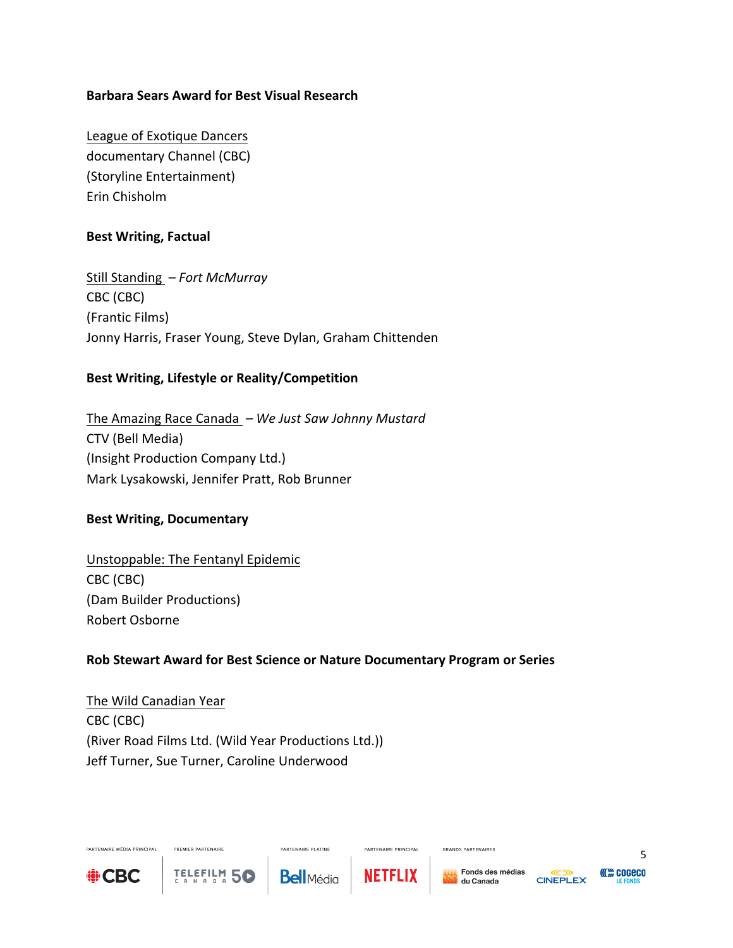## **Barbara Sears Award for Best Visual Research**

League of Exotique Dancers documentary Channel (CBC) (Storyline Entertainment) Erin Chisholm

#### **Best Writing, Factual**

Still Standing *– Fort McMurray* CBC (CBC) (Frantic Films) Jonny Harris, Fraser Young, Steve Dylan, Graham Chittenden

## **Best Writing, Lifestyle or Reality/Competition**

The Amazing Race Canada – We Just Saw Johnny Mustard CTV (Bell Media) (Insight Production Company Ltd.) Mark Lysakowski, Jennifer Pratt, Rob Brunner

#### **Best Writing, Documentary**

Unstoppable: The Fentanyl Epidemic CBC (CBC) (Dam Builder Productions) Robert Osborne

PREMIER PARTENAIRE

**TELEFILM 56** 

## **Rob Stewart Award for Best Science or Nature Documentary Program or Series**

The Wild Canadian Year CBC (CBC) (River Road Films Ltd. (Wild Year Productions Ltd.)) Jeff Turner, Sue Turner, Caroline Underwood



PARTENAIRE MÉDIA PRINCIPAL

**PARTENAIRE PLATINE** 



PARTENAIRE PRINCIPAL

GRANDS PARTENAIRES





5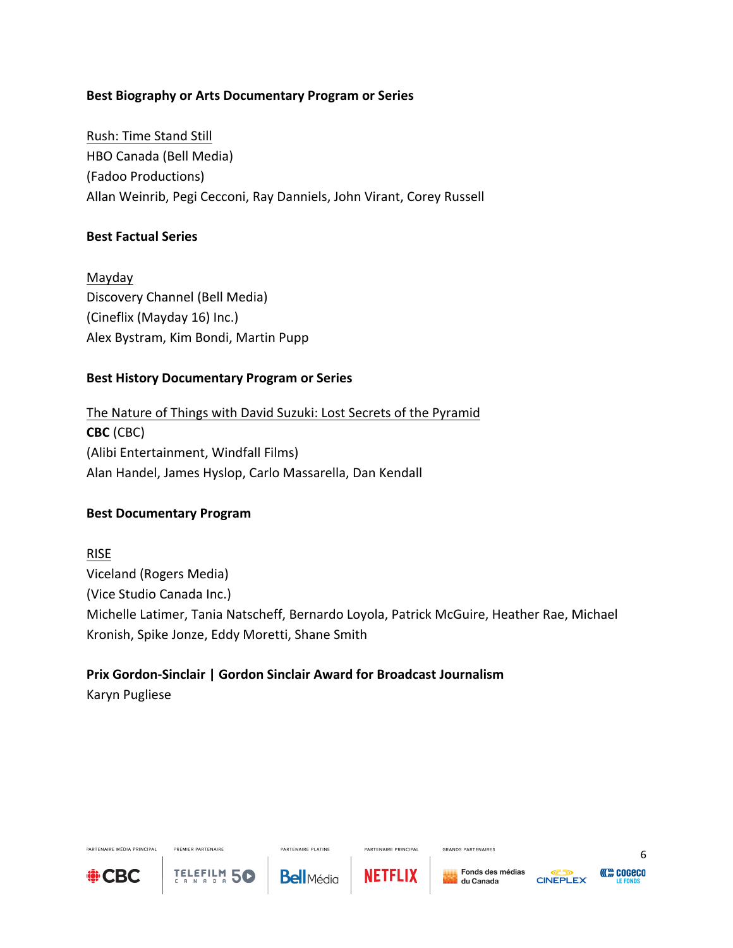## **Best Biography or Arts Documentary Program or Series**

Rush: Time Stand Still HBO Canada (Bell Media) (Fadoo Productions) Allan Weinrib, Pegi Cecconi, Ray Danniels, John Virant, Corey Russell

#### **Best Factual Series**

Mayday Discovery Channel (Bell Media) (Cineflix (Mayday 16) Inc.) Alex Bystram, Kim Bondi, Martin Pupp

## **Best History Documentary Program or Series**

The Nature of Things with David Suzuki: Lost Secrets of the Pyramid **CBC** (CBC) (Alibi Entertainment, Windfall Films) Alan Handel, James Hyslop, Carlo Massarella, Dan Kendall

## **Best Documentary Program**

RISE Viceland (Rogers Media) (Vice Studio Canada Inc.) Michelle Latimer, Tania Natscheff, Bernardo Loyola, Patrick McGuire, Heather Rae, Michael Kronish, Spike Jonze, Eddy Moretti, Shane Smith

# **Prix Gordon-Sinclair | Gordon Sinclair Award for Broadcast Journalism**

Karyn Pugliese



PARTENAIRE MÉDIA PRINCIPAL

PREMIER PARTENAIRE

TELEFILM 5C

**PARTENAIRE PLATINE Bell**Média



PARTENAIRE PRINCIPAL

GRANDS PARTENAIRES



**((()))** COGECO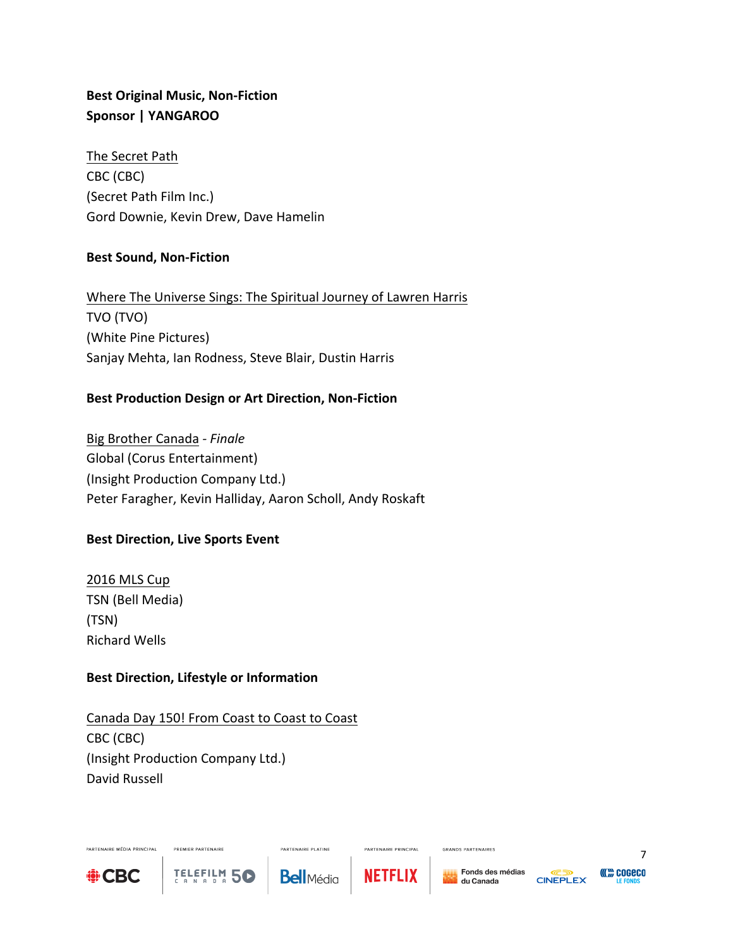# **Best Original Music, Non-Fiction Sponsor | YANGAROO**

The Secret Path CBC (CBC) (Secret Path Film Inc.) Gord Downie, Kevin Drew, Dave Hamelin

## **Best Sound, Non-Fiction**

Where The Universe Sings: The Spiritual Journey of Lawren Harris TVO (TVO) (White Pine Pictures) Sanjay Mehta, Ian Rodness, Steve Blair, Dustin Harris

## Best Production Design or Art Direction, Non-Fiction

Big Brother Canada *- Finale* Global (Corus Entertainment) (Insight Production Company Ltd.) Peter Faragher, Kevin Halliday, Aaron Scholl, Andy Roskaft

## **Best Direction, Live Sports Event**

2016 MLS Cup TSN (Bell Media) (TSN) Richard Wells

## **Best Direction, Lifestyle or Information**

PREMIER PARTENAIRE

TELEFILM 5C

Canada Day 150! From Coast to Coast to Coast CBC (CBC) (Insight Production Company Ltd.) David Russell



PARTENAIRE MÉDIA PRINCIPAL

**Bell**Média

**PARTENAIRE PLATINE** 



PARTENAIRE PRINCIPAL

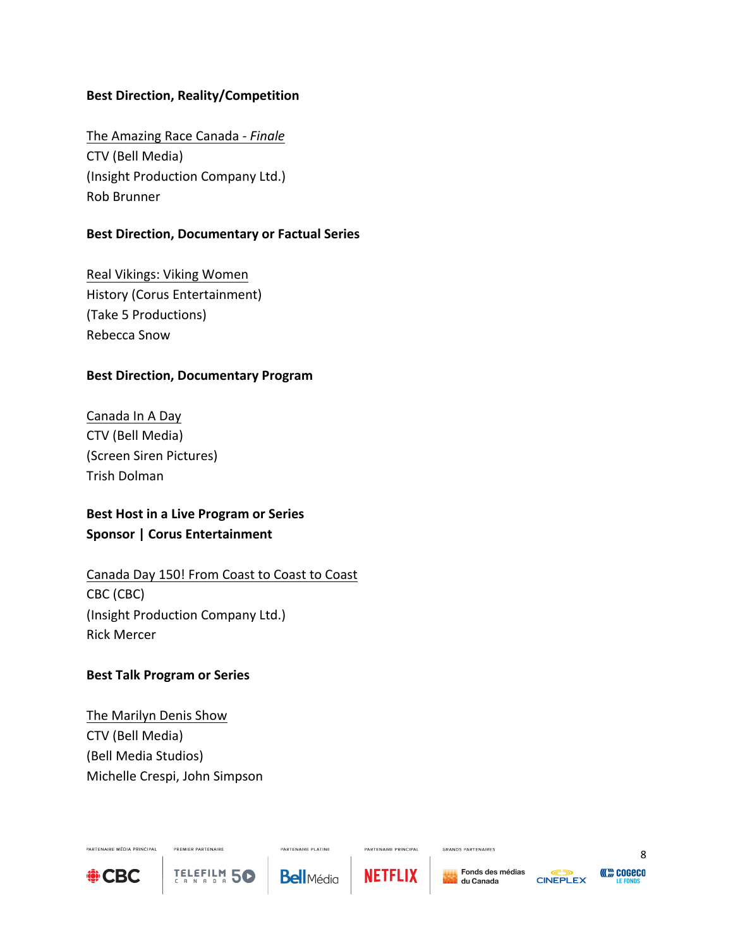#### **Best Direction, Reality/Competition**

The Amazing Race Canada *- Finale* CTV (Bell Media) (Insight Production Company Ltd.) Rob Brunner

#### **Best Direction, Documentary or Factual Series**

Real Vikings: Viking Women History (Corus Entertainment) (Take 5 Productions) Rebecca Snow

#### **Best Direction, Documentary Program**

Canada In A Day CTV (Bell Media) (Screen Siren Pictures) Trish Dolman

# **Best Host in a Live Program or Series Sponsor | Corus Entertainment**

# Canada Day 150! From Coast to Coast to Coast CBC (CBC) (Insight Production Company Ltd.) Rick Mercer

#### **Best Talk Program or Series**

The Marilyn Denis Show CTV (Bell Media) (Bell Media Studios) Michelle Crespi, John Simpson

PREMIER PARTENAIRE

TELEFILM 50



PARTENAIRE MÉDIA PRINCIPAL

**PARTENAIRE PLATINE Bell**Média



PARTENAIRE PRINCIPAL

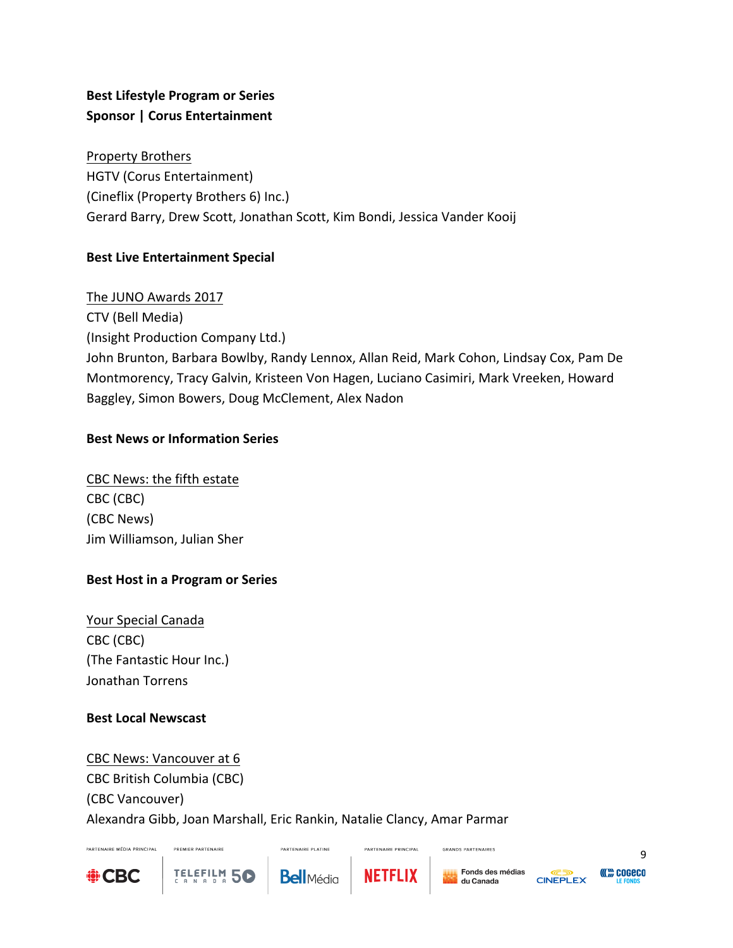# **Best Lifestyle Program or Series Sponsor | Corus Entertainment**

Property Brothers HGTV (Corus Entertainment) (Cineflix (Property Brothers 6) Inc.) Gerard Barry, Drew Scott, Jonathan Scott, Kim Bondi, Jessica Vander Kooij

# **Best Live Entertainment Special**

The JUNO Awards 2017 CTV (Bell Media) (Insight Production Company Ltd.) John Brunton, Barbara Bowlby, Randy Lennox, Allan Reid, Mark Cohon, Lindsay Cox, Pam De Montmorency, Tracy Galvin, Kristeen Von Hagen, Luciano Casimiri, Mark Vreeken, Howard Baggley, Simon Bowers, Doug McClement, Alex Nadon

## **Best News or Information Series**

CBC News: the fifth estate CBC (CBC) (CBC News) Jim Williamson, Julian Sher

# **Best Host in a Program or Series**

PREMIER PARTENAIRE

TELEFILM 5C

Your Special Canada CBC (CBC) (The Fantastic Hour Inc.) Jonathan Torrens

# **Best Local Newscast**

CBC News: Vancouver at 6 CBC British Columbia (CBC) (CBC Vancouver) Alexandra Gibb, Joan Marshall, Eric Rankin, Natalie Clancy, Amar Parmar



PARTENAIRE MÉDIA PRINCIPAL

**PARTENAIRE PLATINE** 



PARTENAIRE PRINCIPAL

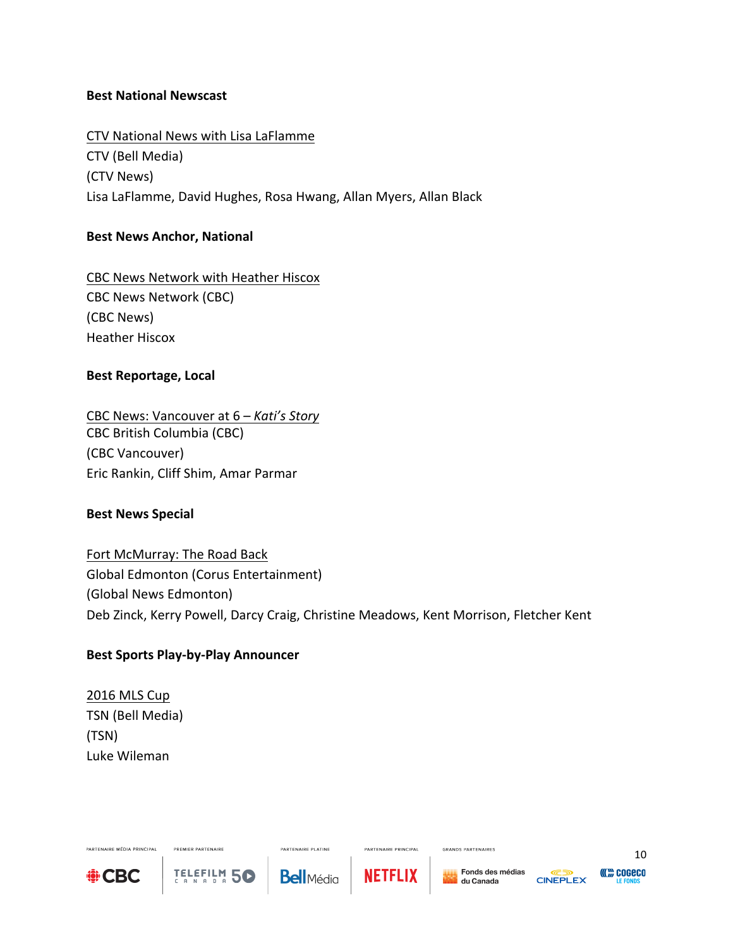#### **Best National Newscast**

CTV National News with Lisa LaFlamme CTV (Bell Media) (CTV News) Lisa LaFlamme, David Hughes, Rosa Hwang, Allan Myers, Allan Black

## **Best News Anchor, National**

CBC News Network with Heather Hiscox CBC News Network (CBC) (CBC News) Heather Hiscox

## **Best Reportage, Local**

CBC News: Vancouver at 6 *– Kati's Story* CBC British Columbia (CBC) (CBC Vancouver) Eric Rankin, Cliff Shim, Amar Parmar

## **Best News Special**

Fort McMurray: The Road Back Global Edmonton (Corus Entertainment) (Global News Edmonton) Deb Zinck, Kerry Powell, Darcy Craig, Christine Meadows, Kent Morrison, Fletcher Kent

## **Best Sports Play-by-Play Announcer**

PREMIER PARTENAIRE

TELEFILM 5C

2016 MLS Cup TSN (Bell Media) (TSN) Luke Wileman



PARTENAIRE MÉDIA PRINCIPAL

PARTENAIRE PLATINE **Bell**Média



PARTENAIRE PRINCIPAL